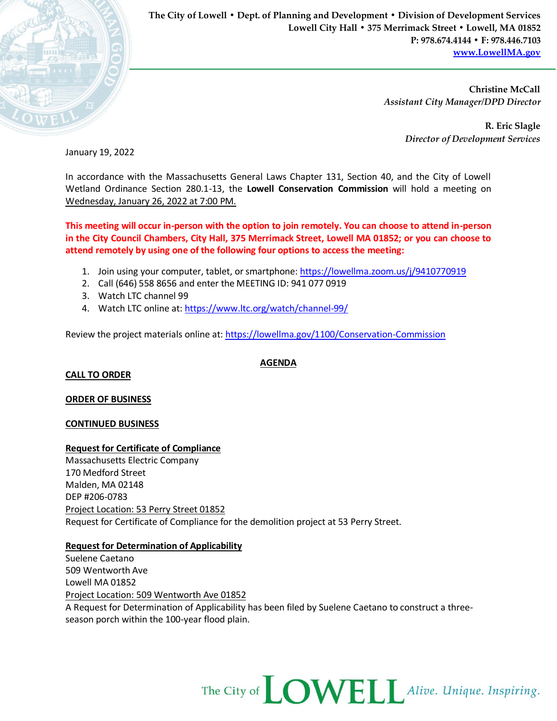

**The City of Lowell • Dept. of Planning and Development • Division of Development Services Lowell City Hall • 375 Merrimack Street • Lowell, MA 01852 P: 978.674.4144 • F: 978.446.7103 [www.LowellMA.gov](http://www.lowellma.gov/)**

> **Christine McCall** *Assistant City Manager/DPD Director*

> > **R. Eric Slagle** *Director of Development Services*

January 19, 2022

In accordance with the Massachusetts General Laws Chapter 131, Section 40, and the City of Lowell Wetland Ordinance Section 280.1-13, the **Lowell Conservation Commission** will hold a meeting on Wednesday, January 26, 2022 at 7:00 PM.

**This meeting will occur in-person with the option to join remotely. You can choose to attend in-person in the City Council Chambers, City Hall, 375 Merrimack Street, Lowell MA 01852; or you can choose to attend remotely by using one of the following four options to access the meeting:**

- 1. Join using your computer, tablet, or smartphone: <https://lowellma.zoom.us/j/9410770919>
- 2. Call (646) 558 8656 and enter the MEETING ID: 941 077 0919
- 3. Watch LTC channel 99
- 4. Watch LTC online at[: https://www.ltc.org/watch/channel-99/](https://www.ltc.org/watch/channel-99/)

Review the project materials online at[: https://lowellma.gov/1100/Conservation-Commission](https://lowellma.gov/1100/Conservation-Commission)

**CALL TO ORDER**

**ORDER OF BUSINESS**

#### **CONTINUED BUSINESS**

#### **Request for Certificate of Compliance**

Massachusetts Electric Company 170 Medford Street Malden, MA 02148 DEP #206-0783 Project Location: 53 Perry Street 01852 Request for Certificate of Compliance for the demolition project at 53 Perry Street.

### **Request for Determination of Applicability**

Suelene Caetano 509 Wentworth Ave Lowell MA 01852 Project Location: 509 Wentworth Ave 01852 A Request for Determination of Applicability has been filed by Suelene Caetano to construct a threeseason porch within the 100-year flood plain.



**AGENDA**